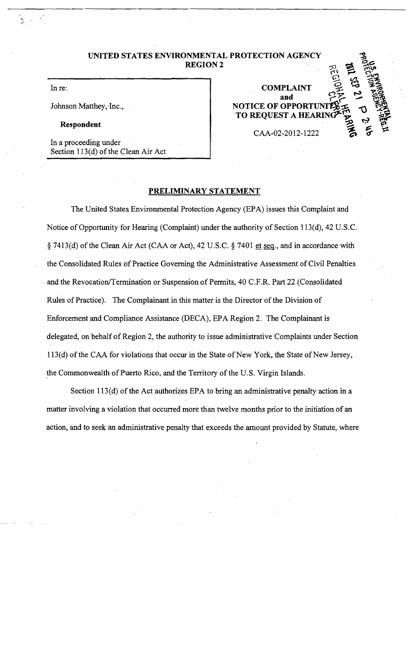**UNITED STATES ENVIRONMENTAL PROTECTION AGENCY<br>REGION 2** 

In re:

Johnson Matthey, Inc.,

**Respondent** 

In a proceeding under Section  $113(d)$  of the Clean Air Act

 $2^{\circ}$  会 選  $COMPLAINT \quad Q \quad Q \quad Q \quad Q$ and<br>**NOTICE OF OPPORTUI TO REQUEST A HEARIN** CAA-02-2012-1222

 $\omega$   $\sim$   $\omega$ 

# **PRELIMINARY STATEMENT**

The United States Environmental Protection Agency (EPA) issues this Complaint and Notice of Opportunity for Hearing (Complaint) under the authority of Section 113(d), 42 U.S.C. § 7413(d) of the Clean Air Act (CAA or Act), 42 U.S.C. § 7401 et seq., and in accordance with the Consolidated Rules of Practice Governing the Administrative Assessment of Civil Penalties and the Revocation/Termination or Suspension of Permits, 40 C.F.R. Part 22 (Consolidated Rules of Practice). The Complainant in this matter is the Director of the Division of Enforcement and Compliance Assistance (DECA), EPA Region 2. The Complainant is delegated, on behalf of Region 2, the authority to issue administrative Complaints under Section 113(d) of the CAA for violations that occur in the State of New York, the State of New Jersey, the Commonwealth of Puerto Rico, and the Territory of the U.S. Virgin Islands.

Section 113(d) of the Act authorizes EPA to bring an administrative penalty action in a matter involving a violation that occurred more than twelve months prior to the initiation of an action, and to seek an administrative penalty that exceeds the amount provided by Statute, where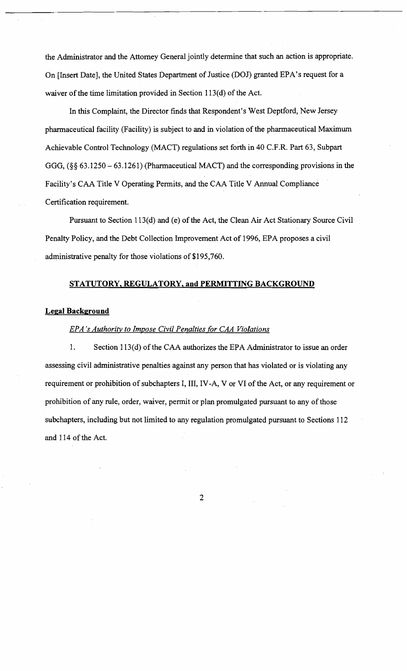the Administrator and the Attorney General jointly determine that such an action is appropriate. On [Insert Date], the United States Department of Justice (DOJ) granted EPA's request for a waiver of the time limitation provided in Section 113(d) of the Act.

In this Complaint, the Director finds that Respondent's West Deptford, New Jersey pharmaceutical facility (Facility) is subject to and in violation of the pharmaceutical Maximum Achievable Control Technology (MACT) regulations set forth in 40 C.F.R. Part 63, Subpart GGG, (§§ 63.1250 - 63.1261) (Pharmaceutical MACT) and the corresponding provisions in the Facility's CAA Title V Operating Permits, and the CAA Title V Annual Compliance Certification requirement.

Pursuant to Section 113(d) and (e) of the Act, the Clean Air Act Stationary Source Civil Penalty Policy, and the Debt Collection Improvement Act of 1996, EPA proposes a civil administrative penalty for those violations of \$195,760.

#### **STATUTORY, REGULATORY, and PERMITTING BACKGROUND**

#### **Legal Background**

# *EPA's Authority to Impose Civil Penalties for CAA Violations*

1. Section 113(d) of the CAA authorizes the EPA Administrator to issue an order assessing civil administrative penalties against any person that has violated or is violating any requirement or prohibition of subchapters I, III, IV-A, V or VI of the Act, or any requirement or prohibition of any rule, order, waiver, permit or plan promulgated pursuant to any of those subchapters, including but not limited to any regulation promulgated pursuant to Sections 112 and 114 of the Act.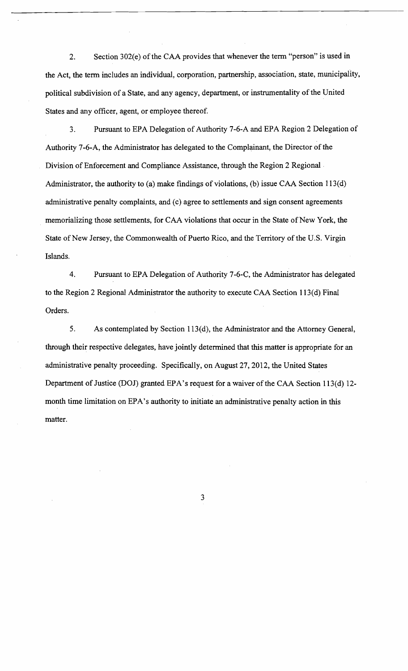2. Section 302(e) of the CAA provides that whenever the term "person" is used in the Act, the term includes an individual, corporation, partnership, association, state, municipality, political subdivision of a State, and any agency, department, or instrumentality of the United States and any officer, agent, or employee thereof.

3. Pursuant to EPA Delegation of Authority 7-6-A and EPA Region 2 Delegation of Authority 7-6-A, the Administrator has delegated to the Complainant, the Director of the Division of Enforcement and Compliance Assistance, through the Region 2 Regional . Administrator, the authority to (a) make findings of violations, (b) issue CAA Section 113(d) administrative penalty complaints, and (c) agree to settlements and sign consent agreements memorializing those settlements, for CAA violations that occur in the State of New York, the State of New Jersey, the Commonwealth of Puerto Rico, and the Territory of the U.S. Virgin Islands.

4. Pursuant to EPA Delegation of Authority 7-6-C, the Administrator has delegated to the Region 2 Regional Administrator the authority to execute CAA Section 113(d} Final Orders.

5. As contemplated by Section 113(d), the Administrator and the Attorney General, through their respective delegates, have jointly determined that this matter is appropriate for an administrative penalty proceeding. Specifically, on August 27,2012, the United States Department of Justice (DOJ) granted EPA's request for a waiver of the CAA Section 113(d) 12 month time limitation on EPA's authority to initiate an administrative penalty action in this matter.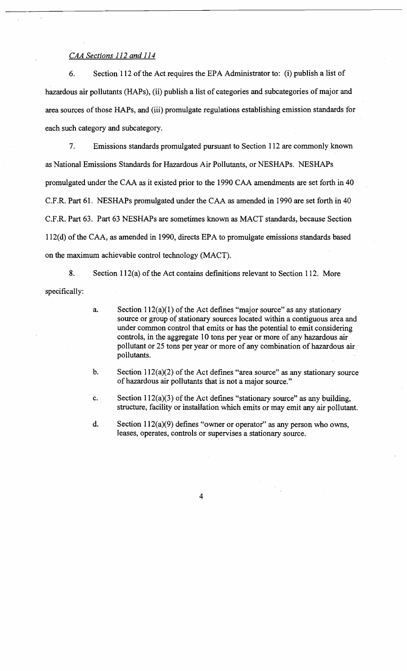# *CAA Sections 112 and 114*

6. Section 112 of the Act requires the EPA Administrator to: (i) publish a list of hazardous air pollutants (HAPs), (ii) publish a list of categories and subcategories of major and area sources of those HAPs, and (iii) promulgate regulations establishing emission standards for each such category and subcategory.

7. Emissions standards promulgated pursuant to Section 112 are commonly known as National Emissions Standards for Hazardous Air Pollutants, or NESHAPs. NESHAPs promulgated under the CAA as it existed prior to the 1990 CAA amendments are set forth in 40 C.F.R. Part 61. NESHAPs promulgated under the CAA as amended in 1990 are set forth in 40 C.F.R. Part 63. Part 63 NESHAPs are sometimes known as MACT standards, because Section 112(d) of the CAA, as amended in 1990, directs EPA to promulgate emissions standards based on the maximum achievable control technology (MACT).

8. Section 112(a) of the Act contains definitions relevant to Section 112. More specifically:

- a. Section  $112(a)(1)$  of the Act defines "major source" as any stationary source or group of stationary sources located within a contiguous area and under common control that emits or has the potential to emit considering controls, in the aggregate 10 tons per year or more of any hazardous air pollutant or 25 tons per year or more of any combination of hazardous air pollutants.
- b. Section  $112(a)(2)$  of the Act defines "area source" as any stationary source of hazardous air pollutants that is not a major source."
- c. Section  $112(a)(3)$  of the Act defines "stationary source" as any building, structure, facility or installation which emits or may emit any air pollutant.
- d. Section  $112(a)(9)$  defines "owner or operator" as any person who owns, leases, operates, controls or supervises a stationary source.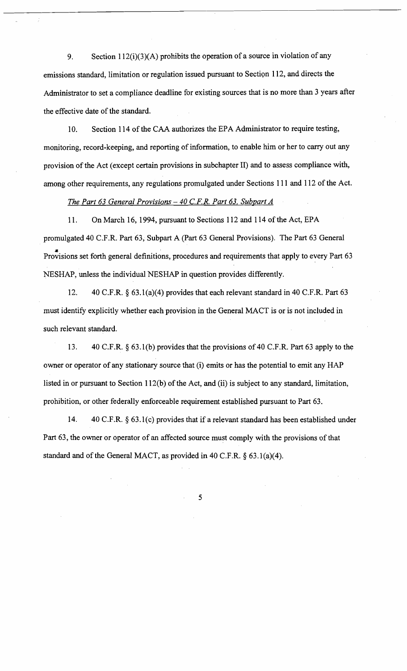9. Section 112(i)(3)(A) prohibits the operation of a source in violation of any emissions standard, limitation or regulation issued pursuant to Section 112, and directs the Administrator to set a compliance deadline for existing sources that is no more than 3 years after the effective date of the standard.

10. Section 114 of the CAA authorizes the EPA Administrator to require testing, monitoring, record-keeping, and reporting of information, to enable him or her to carry out any provision of the Act (except certain provisions in subchapter II) and to assess compliance with, among other requirements, any regulations promulgated under Sections 111 and 112 of the Act.

## *The Part* 63 *General Provisions* - *40 C.FR. Part* 63. *Subpart A*

11. On March 16, 1994, pursuant to Sections 112 and 114 of the Act, EPA promulgated 40 C.F.R. Part 63, Subpart A (Part 63 General Provisions). The Part 63 General Provisions set forth general definitions, procedures and requirements that apply to every Part 63 NESHAP, unless the individual NESHAP in question provides differently.

12. 40 C.F.R. § 63. 1(a)(4) provides that each relevant standard in 40 C.F.R. Part 63 must identify explicitly whether each provision in the General MACT is or is not included in such relevant standard.

13. 40 C.F.R. § 63 .1 (b) provides that the provisions of 40 C.F.R. Part 63 apply to the owner or operator of any stationary source that (i) emits or has the potential to emit any HAP listed in or pursuant to Section  $112(b)$  of the Act, and (ii) is subject to any standard, limitation, prohibition, or other federally enforceable requirement established pursuant to Part 63.

14. 40 C.F.R. § 63 .1 (c) provides that if a relevant standard has been established under Part 63, the owner or operator of an affected source must comply with the provisions of that standard and of the General MACT, as provided in 40 C.F.R. § 63. 1(a)(4).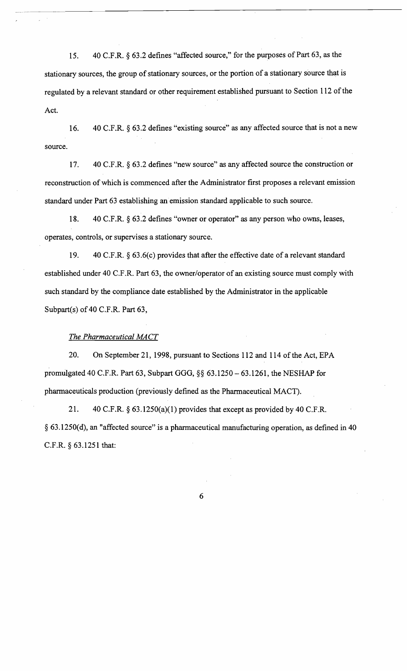15. 40 C.F.R. § 63.2 defines "affected source," for the purposes of Part 63, as the stationary sources, the group of stationary sources, or the portion of a stationary source that is regulated by a relevant standard or other requirement established pursuant to Section 112 of the Act.

16. 40 C.F.R. § 63.2 defines "existing source" as any affected source that is not a new source.

17. 40 C.F.R. § 63.2 defines "new source" as any affected source the construction or reconstruction of which is commenced after the Administrator first proposes a relevant emission standard under Part 63 establishing an emission standard applicable to such source.

18. 40 C.F.R. § 63.2 defines "owner or operator" as any person who owns, leases, operates, controls, or supervises a stationary source.

19. 40 C.F.R. § 63.6(c) provides that after the effective date of a relevant standard established under 40 C.F.R. Part 63, the owner/operator of an existing source must comply with such standard by the compliance date established by the Administrator in the applicable Subpart(s) of 40 C.F.R. Part 63,

#### *The Pharmaceutical MACT*

20. On September 21, 1998, pursuant to Sections 112 and 114 of the Act, EPA promulgated 40 C.F.R. Part 63, Subpart GGG, §§ 63.1250 - 63.1261, the NESHAP for pharmaceuticals production (previously defined as the Pharmaceutical MACT).

21. 40 C.F.R.  $\S$  63.1250(a)(1) provides that except as provided by 40 C.F.R. § 63.1250(d), an "affected source" is a pharmaceutical manufacturing operation, as defined in 40 C.F.R. § 63.1251 that: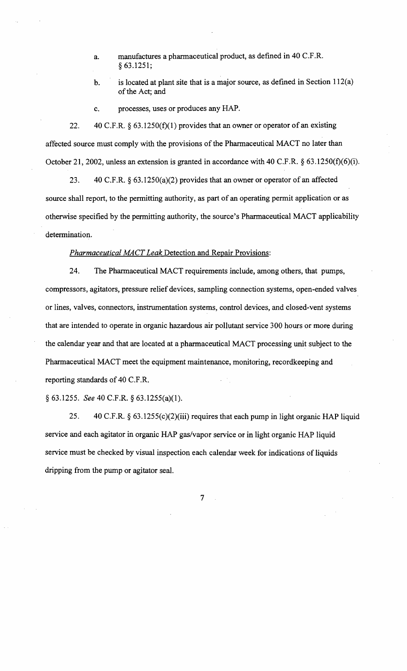- a. manufactures a pharmaceutical product, as defined in 40 C.F.R. § 63.1251;
- b. is located at plant site that is a major source, as defined in Section  $112(a)$ of the Act; and
- c. processes, uses or produces any HAP.

22.  $40 \text{ C.F.R. }$  § 63.1250(f)(1) provides that an owner or operator of an existing affected source must comply with the provisions of the Pharmaceutical MACT no later than October 21, 2002, unless an extension is granted in accordance with 40 C.F.R.  $\S$  63.1250(f)(6)(i).

23. 40 C.F.R. §63.1250(a)(2) provides that an owner or operator of an affected source shall report, to the permitting authority, as part of an operating permit application or as otherwise specified by the pennitting authority, the source's Pharmaceutical MACT applicability determination.

#### *Pharmaceutical MACT Leak* Detection and Repair Provisions:

24. The Pharmaceutical MACT requirements include, among others, that pumps, compressors, agitators, pressure relief devices, sampling connection systems, open-ended valves or lines, valves, connectors, instrumentation systems, control devices, and closed-vent systems that are intended to operate in organic hazardous air pollutant service 300 hours or more during the calendar year and that are located at a pharmaceutical MACT processing unit subject to the Pharmaceutical MACT meet the equipment maintenance, monitoring, recordkeeping and reporting standards of 40 C.F.R.

#### § 63.1255. *See* 40 C.F.R. § 63.1255(a)(1).

25. 40 C.F.R. § 63. 1255(c)(2)(iii) requires that each pump in light organic HAP liquid service and each agitator in organic HAP gas/vapor service or in light organic HAP liquid service must be checked by visual inspection each calendar week for indications of liquids dripping from the pump or agitator seal.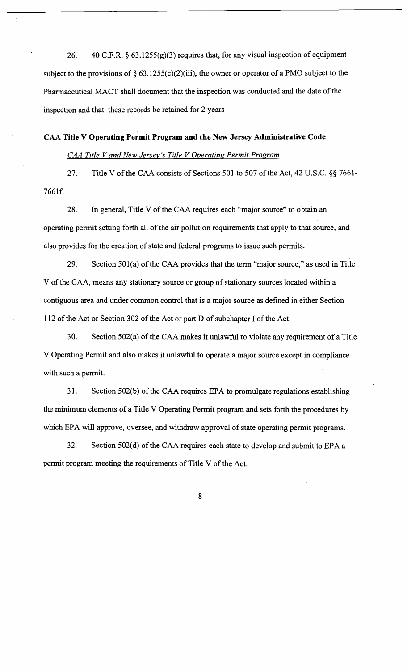26. 40 C.F.R. § 63.1255(g)(3) requires that, for any visual inspection of equipment subject to the provisions of  $\S 63.1255(c)(2)(iii)$ , the owner or operator of a PMO subject to the Pharmaceutical MACT shall document that the inspection was conducted and the date of the inspection and that these records be retained for 2 years

# CAA Title V Operating Permit Program and the New Jersey Administrative Code

# *CAA Title V and New Jersey's Title V Operating Permit Program*

27. Title V of the CAA consists of Sections 501 to 507 of the Act, 42 U.S.C.  $\S$ § 7661-7661f.

28. In general, Title V of the CAA requires each "major source" to obtain an operating permit setting forth all of the air pollution requirements that apply to that source, and also provides for the creation of state and federal programs to issue such permits.

29. Section 501(a) of the CAA provides that the term "major source," as used in Title V of the CAA, means any stationary source or group of stationary sources located within a contiguous area and under common control that is a major source as defined in either Section 112 of the Act or Section 302 of the Act or part D of subchapter I of the Act.

30. Section 502(a) of the CAA makes it unlawful to violate any requirement of a Title V Operating Permit and also makes it unlawful to operate a major source except in compliance with such a permit.

31. Section 502(b) of the CAA requires EPA to promulgate regulations establishing the minimum elements of a Title V Operating Permit program and sets forth the procedures by which EPA will approve, oversee, and withdraw approval of state operating permit programs.

32. Section  $502(d)$  of the CAA requires each state to develop and submit to EPA a permit program meeting the requirements of Title V of the Act.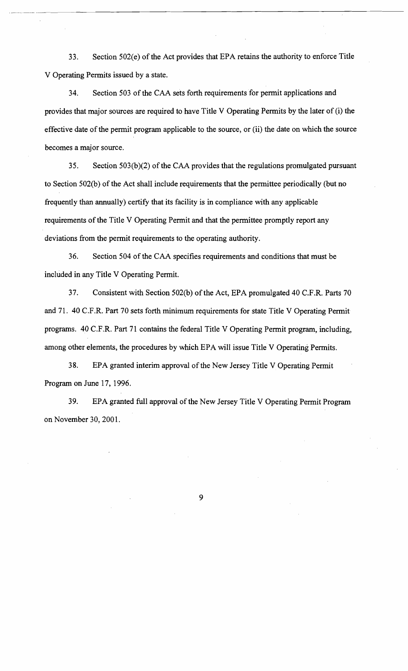33. Section 502(e) of the Act provides that EPA retains the authority to enforce Title V Operating Permits issued by a state.

34. Section 503 of the CAA sets forth requirements for permit applications and provides that major sources are required to have Title V Operating Permits by the later of (i) the effective date of the permit program applicable to the source, or (ii) the date on which the source becomes a major source.

35. Section 503(b)(2) of the CAA provides that the regulations promulgated pursuant to Section 502(b) of the Act shall include requirements that the permittee periodically (but no frequently than annually) certify that its facility is in compliance with any applicable requirements of the Title V Operating Permit and that the permittee promptly report any deviations from the permit requirements to the operating authority.

36. Section 504 of the CAA specifies requirements and conditions that must be included in any Title V Operating Permit.

37. Consistent with Section 502(b) of the Act, EPA promulgated 40 C.F.R. Parts 70 and 71. 40 C.P.R. Part 70 sets forth minimum requirements for state Title V Operating Permit programs. 40 C.F.R. Part 71 contains the federal Title V Operating Permit program, including, among other elements, the procedures by which EPA will issue Title V Operating Permits.

38. EPA granted interim approval of the New Jersey Title V Operating Permit Program on June 17, 1996.

39. EPA granted full approval of the New Jersey Title V Operating Permit Program on November 30,2001.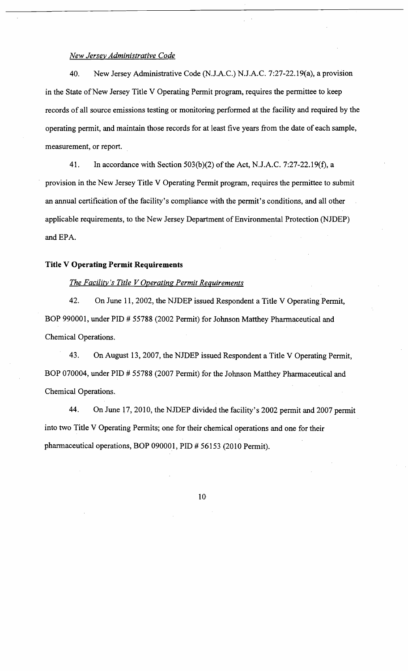#### *New Jersey Administrative Code*

40. New Jersey Administrative Code (N.J.A.C.) N.J.A.C. 7:27-22. 19(a), a provision in the State of New Jersey Title V Operating Permit program, requires the permittee to keep records of all source emissions testing or monitoring perfonned at the facility and required by the operating pennit, and maintain those records for at least five years from the date of each sample, measurement, or report.

41. In accordance with Section  $503(b)(2)$  of the Act, N.J.A.C. 7:27-22.19(f), a provision in the New Jersey Title V Operating Permit program, requires the permittee to submit an annual certification of the facility's compliance with the permit's conditions, and all other applicable requirements, to the New Jersey Department of Environmental Protection (NJDEP) and EPA.

# **Title V Operating Permit Requirements**

# *The Facility's Title V Operating Permit Requirements*

42. On June 11, 2002, the NJDEP issued Respondent a Title V Operating Permit, BOP 990001, under PID # 55788 (2002 Pennit) for Johnson Matthey Pharmaceutical and Chemical Operations.

43. On August 13, 2007, the NJDEP issued Respondent a Title V Operating Permit, BOP 070004, under PID # 55788 (2007 Pennit) for the Johnson Matthey Pharmaceutical and Chemical Operations.

44. On June 17, 2010, the NJDEP divided the facility's 2002 permit and 2007 permit into two Title V Operating Permits; one for their chemical operations and one for their pharmaceutical operations, BOP 090001, PID # 56153 (2010 Pennit).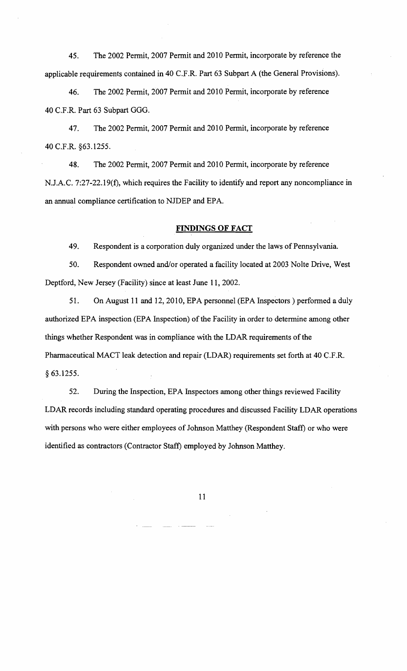45. The 2002 Permit, 2007 Permit and 2010 Permit, incorporate by reference the applicable requirements contained in 40 C.F.R. Part 63 Subpart A (the General Provisions).

46. The 2002 permit, 2007 Permit and 2010 Permit, incorporate by reference 40 C.F.R. Part 63 Subpart GGG.

47. The 2002 Permit, 2007 Permit and 2010 Permit, incorporate by reference 40 C.F.R. §63.1255.

48. The 2002 Permit, 2007 Permit and 2010 Permit, incorporate by reference N.J.A.C. 7:27-22. 19(f), which requires the Facility to identify and report any noncompliance in an annual compliance certification to NJDEP and EPA.

#### **FINDINGS OF FACT**

49. Respondent is a corporation duly organized under the laws of Pennsylvania.

50. Respondent owned and/or operated a facility located at 2003 Nolte Drive, West Deptford, New Jersey (Facility) since at least June 11,2002.

51. On August 11 and 12, 2010, EPA personnel (EPA Inspectors) performed a duly authorized EPA inspection (EPA Inspection) of the Facility in order to determine among other things whether Respondent was in compliance with the LDAR requirements of the Pharmaceutical MACT leak detection and repair (LDAR) requirements set forth at 40 C.F.R. § 63.1255.

52. During the Inspection, EPA Inspectors among other things reviewed Facility LDAR records including standard operating procedures and discussed Facility LDAR operations with persons who were either employees of Johnson Matthey (Respondent Staff) or who were identified as contractors (Contractor Staff) employed by Johnson Matthey.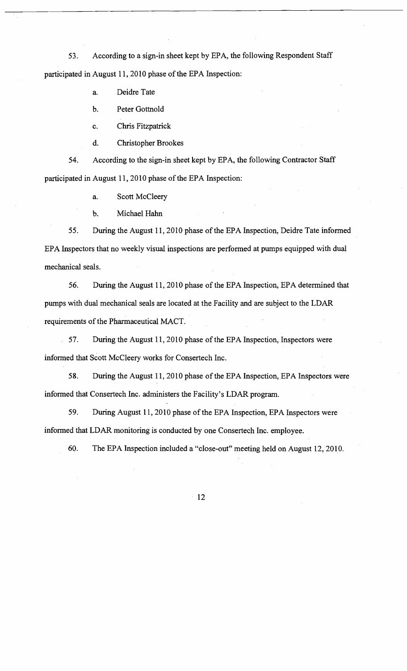53. According to a sign-in sheet kept by EPA, the following Respondent Staff participated in August 11, 2010 phase of the EPA Inspection:

a. Deidre Tate

b. Peter Gottnold

c. Chris Fitzpatrick

d. Christopher Brookes

54. According to the sign-in sheet kept by EPA, the following Contractor Staff participated in August 11, 2010 phase of the EPA Inspection:

a. Scott McCleery

b. Michael Hahn

55. During the August 11, 2010 phase of the EPA Inspection, Deidre Tate informed EPA Inspectors that no weekly visual inspections are performed at pumps equipped with dual mechanical seals.

56. During the August 11, 2010 phase of the EPA Inspection, EPA determined that pumps with dual mechanical seals are located at the Facility and are subject to the LDAR requirements of the Pharmaceutical MACT.

57. During the August 11, 2010 phase of the EPA Inspection, Inspectors were informed that Scott McCleery works for Consertech Inc.

58. During the August 11, 2010 phase of the EPA Inspection, EPA Inspectors were informed that Consertech Inc. administers the Facility's LDAR program.

59. During August 11, 2010 phase of the EPA Inspection, EPA Inspectors were informed that LDAR monitoring is conducted by one Consertech Inc. employee.

60. The EPA Inspection included a "close-out" meeting held on August 12,2010.

 $-12$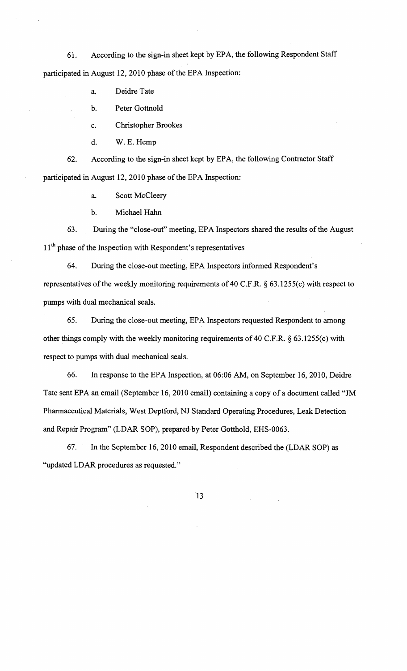61. According to the sign-in sheet kept by EPA, the following Respondent Staff participated in August 12, 2010 phase of the EPA Inspection:

a. Deidre Tate

b. Peter Gottnold

c. Christopher Brookes

d. W. E. Hemp

62. According to the sign-in sheet kept by EPA, the following Contractor Staff participated in August 12, 2010 phase of the EPA Inspection:

a. Scott McCleery

b. Michael Hahn

63. During the "close-out" meeting, EPA Inspectors shared the results of the August 11<sup>th</sup> phase of the Inspection with Respondent's representatives

64. During the close-out meeting, EPA Inspectors informed Respondent's representatives of the weekly monitoring requirements of 40 C.F.R.  $\S$  63.1255(c) with respect to pumps with dual mechanical seals.

65. During the close-out meeting, EPA Inspectors requested Respondent to among other things comply with the weekly monitoring requirements of 40 C.F.R. § 63.1255(c) with respect to pumps with dual mechanical seals.

66. In response to the EPA Inspection, at 06:06 AM, on September 16,2010, Deidre Tate sent EPA an email (September 16, 2010 email) containing a copy of a document called "JM Pharmaceutical Materials, West Deptford, NJ Standard Operating Procedures, Leak Detection and Repair Program" (LDAR SOP), prepared by Peter Gotthold, EHS-0063.

67. In the September 16,2010 email, Respondent described the (LDAR SOP) as "updated LDAR procedures as requested."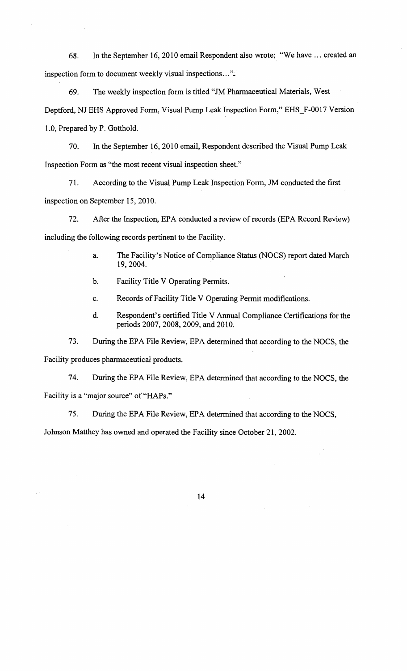68. In the September 16,2010 email Respondent also wrote: "We have ... created an inspection form to document weekly visual inspections...".

69. The weekly inspection form is titled "JM Pharmaceutical Materials, West Deptford, NJ EHS Approved Form, Visual Pump Leak Inspection Form," EHS\_F-0017 Version 1.0, Prepared by P. Gotthold.

70. In the September 16,2010 email, Respondent described the Visual Pump Leak Inspection Form as "the most recent visual inspection sheet."

71. According to the Visual Pump Leak Inspection Form, JM conducted the first inspection on September 15,2010.

72. After the Inspection, EPA conducted a review of records (EPA Record Review) including the following records pertinent to the Facility.

- a. The Facility's Notice of Compliance Status (NOCS) report dated March 19,2004.
- b. Facility Title V Operating Permits.
- c. Records of Facility Title V Operating Permit modifications.
- d. Respondent's certified Title V Annual Compliance Certifications for the periods 2007, 2008, 2009, and 2010.

73. During the EPA File Review, EPA determined that according to the NOCS, the

Facility produces pharmaceutical products.

74. During the EPA File Review, EPA determined that according to the NOCS, the Facility is a "major source" of "HAPs."

75. During the EPA File Review, EPA determined that according to the NOCS,

Johnson Matthey has owned and operated the Facility since October 21,2002.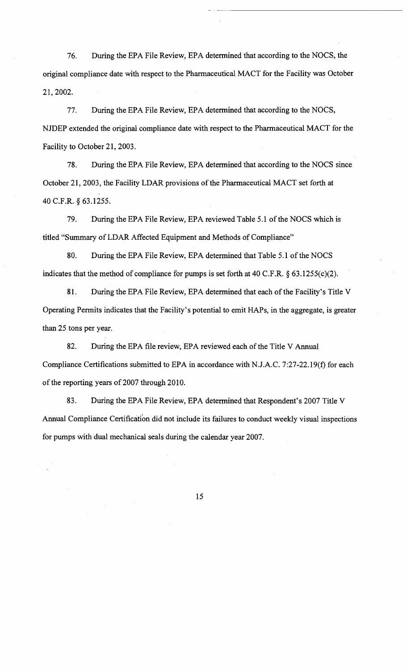76. During the EPA File Review, EPA detennined that according to the NOCS, the original compliance date with respect to the Pharmaceutical MACT for the Facility was October 21,2002.

77. During the EPA File Review, EPA determined that according to the NOCS, NJDEP extended the original compliance date with respect to the Phannaceutical MACT for the Facility to October 21, 2003.

78. During the EPA File Review, EPA determined that according to the NOCS since October 21, 2003, the Facility LDAR provisions of the Pharmaceutical MACT set forth at 40 C.F.R. § 63.1255.

79. During the EPA File Review, EPA reviewed Table 5.1 of the NOCS which is titled "Summary of LDAR Affected Equipment and Methods of Compliance"

80. During the EPA File Review, EPA determined that Table 5.1 of the NOCS indicates that the method of compliance for pumps is set forth at 40 C.F.R. § 63.1255(c)(2).

81. During the EPA File Review, EPA determined that each of the Facility's Title V Operating Permits indicates that the Facility's potential to emit HAPs, in the aggregate, is greater than 25 tons per year.

82. During the EPA file review, EPA reviewed each of the Title V Annual Compliance Certifications submitted to EPA in accordance with N.J.A.C. 7:27-22.19(f) for each of the reporting years of 2007 through 2010.

83. During the EPA File Review, EPA determined that Respondent's 2007 Title V Annual Compliance Certification did not include its failures to conduct weekly visual inspections for pumps with dual mechanical seals during the calendar year 2007.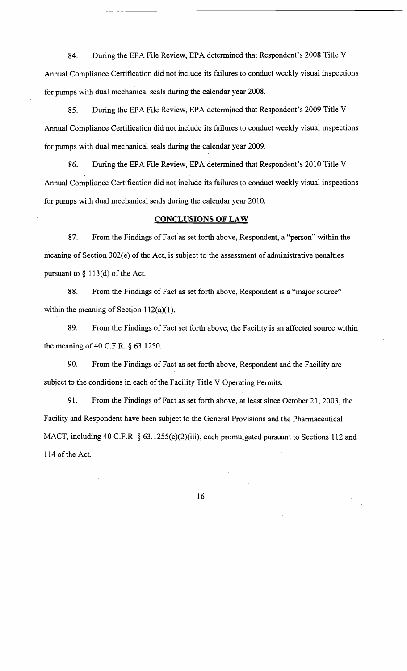84. During the EPA File Review, EPA determined that Respondent's 2008 Title V Annual Compliance Certification did not include its failures to conduct weekly visual inspections for pumps with dual mechanical seals during the calendar year 2008.

---- -- ------------------------------------

85. During the EPA File Review, EPA determined that Respondent's 2009 Title V Annual Compliance Certification did not include its failures to conduct weekly visual inspections for pumps with dual mechanical seals during the calendar year 2009.

86. During the EPA File Review, EPA determined that Respondent's 2010 Title V Annual Compliance Certification did not include its failures to conduct weekly visual inspections for pumps with dual mechanical seals during the calendar year 2010.

#### **CONCLUSIONS OF LAW**

87. From the Findings of Fact as set forth above, Respondent, a "person" within the meaning of Section 302(e) of the Act, is subject to the assessment of administrative penalties pursuant to § 113(d) of the Act.

88. From the Findings of Fact as set forth above, Respondent is a "major source" within the meaning of Section 112(a)(1).

89. From the Findings of Fact set forth above, the Facility is an affected source within the meaning of 40 C.F.R. § 63.1250.

90. From the Findings of Fact as set forth above, Respondent and the Facility are subject to the conditions in each of the Facility Title V Operating Permits.

91. From the Findings of Fact as set forth above, at least since October 21, 2003, the Facility and Respondent have been subject to the General Provisions and the Pharmaceutical MACT, including 40 C.F.R. § 63.1255(c)(2)(iii), each promulgated pursuant to Sections 112 and 114 of the Act.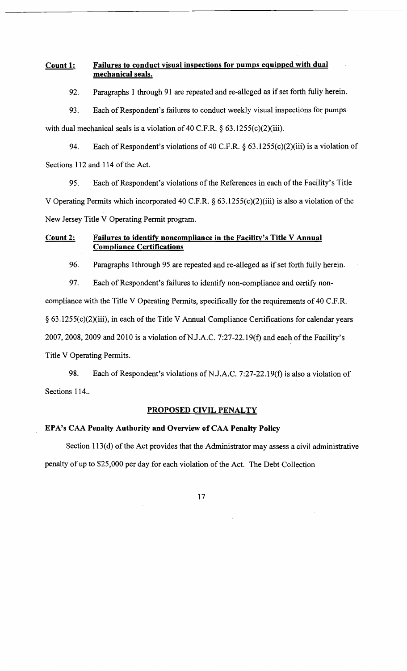# Count 1: Failures to conduct visual inspections for pumps equipped with dual mechanical seals.

92. Paragraphs 1 through 91 are repeated and re-alleged as if set forth fully herein.

93. Each of Respondent's failures to conduct weekly visual inspections for pumps with dual mechanical seals is a violation of 40 C.F.R. § 63.1255(c)(2)(iii).

94. Each of Respondent's violations of 40 C.F.R. § 63. 1255(c)(2)(iii) is a violation of Sections 112 and 114 of the Act.

95. Each of Respondent's violations of the References in each of the Facility's Title V Operating Permits which incorporated 40 C.F.R.  $\S$  63.1255(c)(2)(iii) is also a violation of the New Jersey Title V Operating Permit program.

# Count 2: Failures to identify noncompliance in the Facility's Title V Annual Compliance Certifications

96. Paragraphs 1through 95 are repeated and re-alleged as if set forth fully herein.

97. Each of Respondent's failures to identify non-compliance and certify non-

compliance with the Title V Operating Permits, specifically for the requirements of 40 C.F.R.

 $§ 63.1255(c)(2)(iii)$ , in each of the Title V Annual Compliance Certifications for calendar years

2007, 2008, 2009 and 2010 is a violation of N.J.A.C. 7:27-22.19(f) and each of the Facility's

Title V Operating Permits.

98. Each of Respondent's violations of N.J.A.C. 7:27-22.19(f) is also a violation of Sections 114..

# PROPOSED CIVIL PENALTY

# EPA's CAA Penalty Authority and Overview of CAA Penalty Policy

Section 113(d) of the Act provides that the Administrator may assess a civil administrative penalty of up to \$25,000 per day for each violation of the Act. The Debt Collection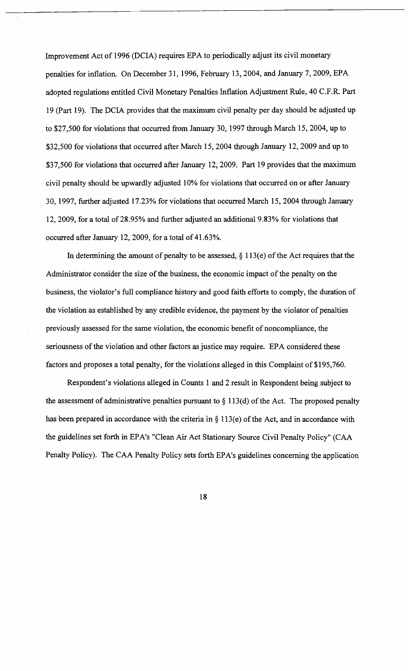Improvement Act of 1996 (DCIA) requires EPA to periodically adjust its civil monetary penalties for inflation. On December 31, 1996, February 13,2004, and January 7, 2009, EPA adopted regulations entitled Civil Monetary Penalties Inflation Adjustment Rule, 40 C.F.R. Part 19 (Part 19). The DCIA provides that the maximum civil penalty per day should be adjusted up to \$27,500 for violations that occurred from January 30, 1997 through March 15,2004, up to \$32,500 for violations that occurred after March 15,2004 through January 12,2009 and up to \$37,500 for violations that occurred after January 12, 2009. Part 19 provides that the maximum civil penalty should be upwardly adjusted 10% for violations that occurred on or after January 30, 1997, further adjusted 17.23% for violations that occurred March 15,2004 through January 12,2009, for a total of28.95% and further adjusted an additional 9.83% for violations that occurred after January 12, 2009, for a total of 41.63%.

In determining the amount of penalty to be assessed,  $\S$  113(e) of the Act requires that the Administrator consider the size of the business, the economic impact of the penalty on the business, the violator's full compliance history and good faith efforts to comply, the duration of the violation as established by any credible evidence, the payment by the violator of penalties previously assessed for the same violation, the economic benefit of noncompliance, the seriousness of the violation and other factors as justice may require. EPA considered these factors and proposes a total penalty, for the violations alleged in this Complaint of \$195,760.

Respondent's violations alleged in Counts 1 and 2 result in Respondent being subject to the assessment of administrative penalties pursuant to  $\S 113(d)$  of the Act. The proposed penalty has been prepared in accordance with the criteria in  $\S 113(e)$  of the Act, and in accordance with the guidelines set forth in EPA's "Clean Air Act Stationary Source Civil Penalty Policy" (CAA Penalty Policy). The CAA Penalty Policy sets forth EPA's guidelines concerning the application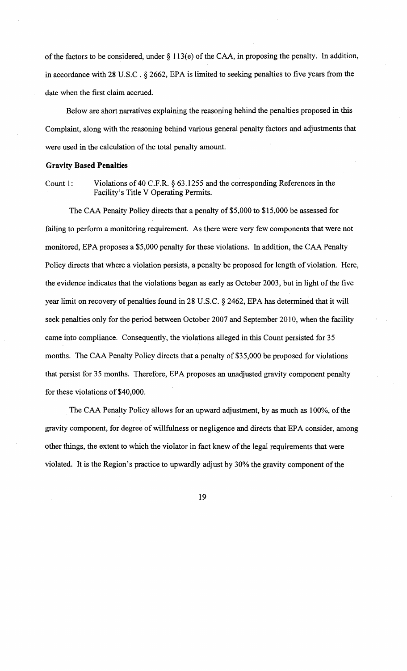of the factors to be considered, under  $\S$  113(e) of the CAA, in proposing the penalty. In addition, in accordance with 28 U.S.C . § 2662, EPA is limited to seeking penalties to five years from the date when the first claim accrued.

Below are short narratives explaining the reasoning behind the penalties proposed in this Complaint, along with the reasoning behind various general penalty factors and adjustments that were used in the calculation of the total penalty amount.

## Gravity **Based Penalties**

Count 1: Violations of 40 C.F.R. § 63.1255 and the corresponding References in the Facility's Title V Operating Permits.

The CAA Penalty Policy directs that a penalty of \$5,000 to \$15,000 be assessed for failing to perform a monitoring requirement. As there were very few components that were not monitored, EPA proposes a \$5,000 penalty for these violations. In addition, the CAA Penalty Policy directs that where a violation persists, a penalty be proposed for length of violation. Here, the evidence indicates that the violations began as early as October 2003, but in light of the five year limit on recovery of penalties found in 28 U.S.C. § 2462, EPA has determined that it will seek penalties only for the period between October 2007 and September 2010, when the facility came into compliance. Consequently, the violations alleged in this Count persisted for 35 months. The CAA Penalty Policy directs that a penalty of \$35,000 be proposed for violations that persist for 35 months. Therefore, EPA proposes an unadjusted gravity component penalty for these violations of \$40,000.

The CAA Penalty Policy allows for an upward adjustment, by as much as 100%, of the gravity component, for degree of willfulness or negligence and directs that EPA consider, among other things, the extent to which the violator in fact knew of the legal requirements that were violated. It is the Region's practice to upwardly adjust by 30% the gravity component of the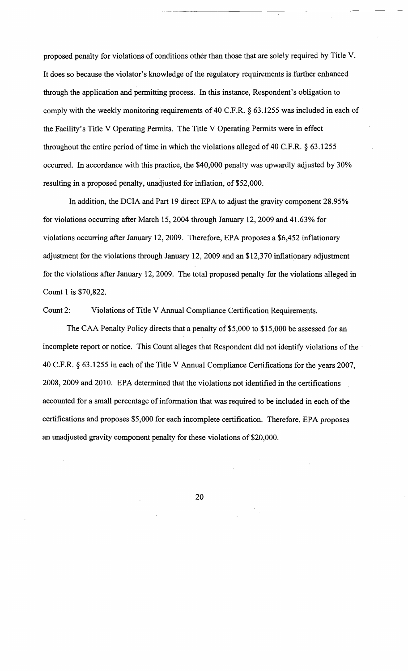proposed penalty for violations of conditions other than those that are solely required by Title V. It does so because the violator's knowledge of the regulatory requirements is.further enhanced through the application and permitting process. In this instance, Respondent's obligation to comply with the weekly monitoring requirements of 40 C.F.R. § 63.1255 was included in each of the Facility's Title V Operating Permits. The Title V Operating Permits were in effect throughout the entire period of time in which the violations alleged of 40 C.F.R.  $\S$  63.1255 occurred. In accordance with this practice, the \$40,000 penalty was upwardly adjusted by 30% resulting in a proposed penalty, unadjusted for inflation, of \$52,000.

In addition, the DCIA and Part 19 direct EPA to adjust the gravity component 28.95% for violations occurring after March 15, 2004 through January 12,2009 and 41.63% for violations occurring after January 12, 2009. Therefore, EPA proposes a \$6,452 inflationary adjustment for the violations through January 12,2009 and an \$12,370 inflationary adjustment for the violations after January 12, 2009. The total proposed penalty for the violations alleged in Count 1 is \$70,822.

Count 2: Violations of Title V Annual Compliance Certification Requirements.

The CAA Penalty Policy directs that a penalty of \$5,000 to \$15,000 be assessed for an incomplete report or notice. This Count alleges that Respondent did not identify violations of the 40 C.F.R. § 63.1255 in each of the Title V Annual Compliance Certifications for the years 2007, 2008,2009 and 2010. EPA determined that the violations not identified in the certifications accounted for a small percentage of information that was required to be included in each of the certifications and proposes \$5,000 for each incomplete certification. Therefore, EPA proposes an unadjusted gravity component penalty for these violations of \$20,000.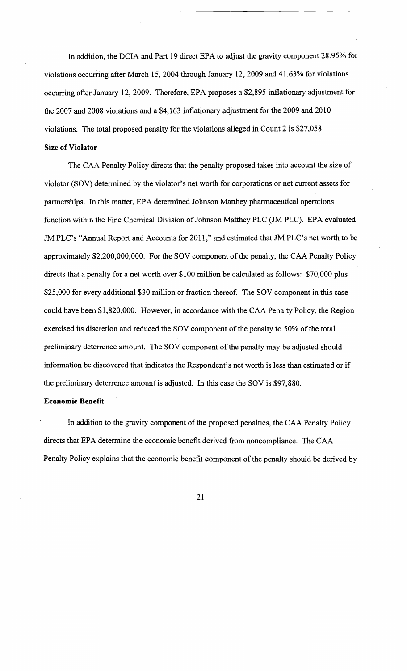In addition, the DCIA and Part 19 direct EPA to adjust the gravity component 28.95% for violations occurring after March 15, 2004 through January 12, 2009 and 41.63% for violations occurring after January 12,2009. Therefore, EPA proposes a \$2,895 inflationary adjustment for the 2007 and 2008 violations and a \$4,163 inflationary adjustment for the 2009 and 2010 violations. The total proposed penalty for the violations alleged in Count 2 is \$27,058.

#### Size **of Violator**

The CAA Penalty Policy directs that the penalty proposed takes into account the size of violator (SOV) determined by the violator's net worth for corporations or net current assets for partnerships. In this matter, EPA determined Johnson Matthey pharmaceutical operations function within the Fine Chemical Division of Johnson Matthey PLC (JM PLC). EPA evaluated JM PLC's "Annual Report and Accounts for 2011," and estimated that JM PLC's net worth to be approximately \$2,200,000,000. For the SOY component of the penalty, the CAA Penalty Policy directs that a penalty for a net worth over \$100 million be calculated as follows: \$70,000 plus \$25,000 for every additional \$30 million or fraction thereof. The SOY component in this case could have been \$1,820,000. However, in accordance with the CAA Penalty Policy, the Region exercised its discretion and reduced the SOV component of the penalty to 50% of the total preliminary deterrence amount. The SOV component of the penalty may be adjusted should infonnation be discovered that indicates the Respondent's net worth is less than estimated or if the preliminary deterrence amount is adjusted. In this case the SOY is \$97,880.

# **Economic Benefit**

In addition to the gravity component of the proposed penalties, the CAA Penalty Policy directs that EPA determine the economic benefit derived from noncompliance. The CAA Penalty Policy explains that the economic benefit component of the penalty should be derived by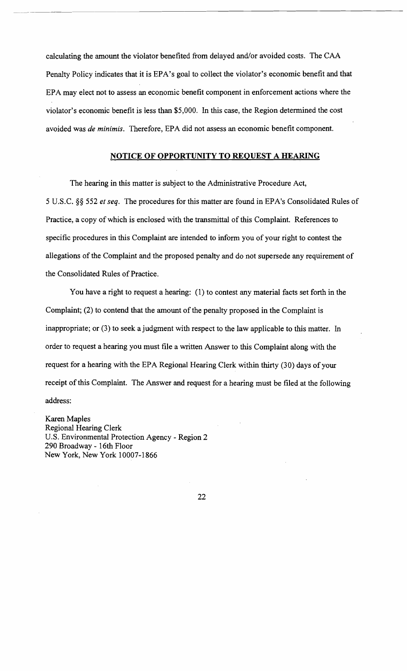calculating the amount the violator benefited from delayed and/or avoided costs. The CAA Penalty Policy indicates that it is EPA's goal to collect the violator's economic benefit and that EPA may elect not to assess an economic benefit component in enforcement actions where the violator's economic benefit is less than \$5,000. In this case, the Region determined the cost avoided was *de minimis.* Therefore, EPA did not assess an economic benefit component.

# **NOTICE OF OPPORTUNITY TO REQUEST A HEARING**

The hearing in this matter is subject to the Administrative Procedure Act, 5 U.S.C. §§ 552 *et seq.* The procedures for this matter are found in EPA's Consolidated Rules of Practice, a copy of which is enclosed with the transmittal of this Complaint. References to specific procedures in this Complaint are intended to inform you of your right to contest the allegations of the Complaint and the proposed penalty and do not supersede any requirement of the Consolidated Rules of Practice.

You have a right to request a hearing: (1) to contest any material facts set forth in the Complaint; (2) to contend that the amount of the penalty proposed in the Complaint is inappropriate; or (3) to seek a judgment with respect to the law applicable to this matter. In order to request a hearing you must file a written Answer to this Complaint along with the request for a hearing with the EPA Regional Hearing Clerk within thirty (30) days of your receipt of this Complaint. The Answer and request for a hearing must be filed at the following address:

Karen Maples Regional Hearing Clerk U.S. Environmental Protection Agency - Region 2 290 Broadway - 16th Floor New York, New York 10007-1866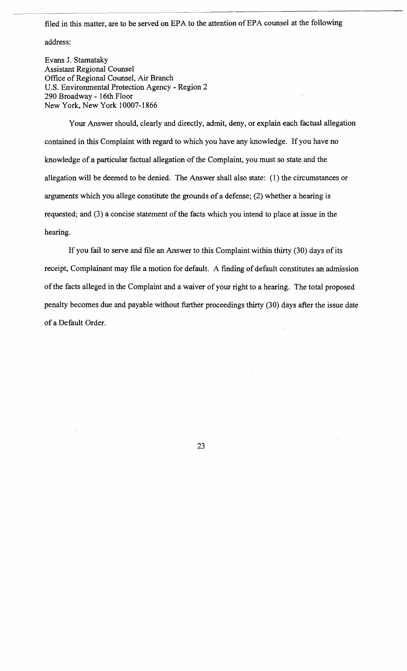filed in this matter, are to be served on EPA to the attention of EPA counsel at the following

address:

Evans J. Stamataky Assistant Regional Counsel Office of Regional Counsel, Air Branch U.S. Environmental Protection Agency - Region 2 290 Broadway - 16th Floor New York, New York 10007-1866

Your Answer should, clearly and directly, admit, deny, or explain each factual allegation contained in this Complaint with regard to which you have any knowledge. If you have no knowledge of a particular factual allegation of the Complaint, you must so state and the allegation will be deemed to be denied. The Answer shall also state: (1) the circumstances or arguments which you allege constitute the grounds of a defense; (2) whether a hearing is requested; and (3) a concise statement of the facts which you intend to place at issue in the hearing.

If you fail to serve and file an Answer to this Complaint within thirty (30) days of its receipt, Complainant may file a motion for default. A finding of default constitutes an admission ofthe facts alleged in the Complaint and a waiver of your right to a hearing. The total proposed penalty becomes due and payable without further proceedings thirty (30) days after the issue date of a Default Order.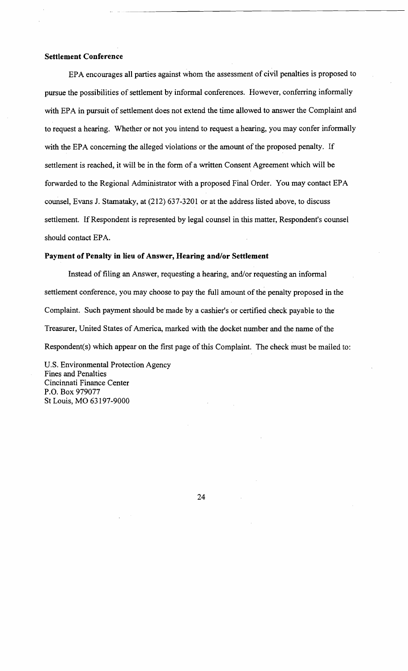# **Settlement Conference**

EPA encourages all parties against whom the assessment of civil penalties is proposed to pursue the possibilities of settlement by informal conferences. However, conferring informally with EPA in pursuit of settlement does not extend the time allowed to answer the Complaint and to request a hearing. Whether or not you intend to request a hearing, you may confer informally with the EPA concerning the alleged violations or the amount of the proposed penalty. If settlement is reached, it will be in the form of a written Consent Agreement which will be forwarded to the Regional Administrator with a proposed Final Order. You may contact EPA counsel, Evans J. Stamataky, at (212) 637-3201 or at the address listed above, to discuss settlement. If Respondent is represented by legal counsel in this matter, Respondent's counsel should contact EPA.

#### **Payment of Penalty in lieu of Answer, Hearing and/or Settlement**

Instead of filing an Answer, requesting a hearing, and/or requesting an informal settlement conference, you may choose to pay the full amount of the penalty proposed in the Complaint. Such payment should be made by a cashier's or certified check payable to the Treasurer, United States of America, marked with the docket number and the name of the Respondent(s) which appear on the first page of this Complaint. The check must be mailed to:

U.S. Environmental Protection Agency Fines and Penalties Cincinnati Finance Center P.O. Box 979077 St Louis, MO 63197-9000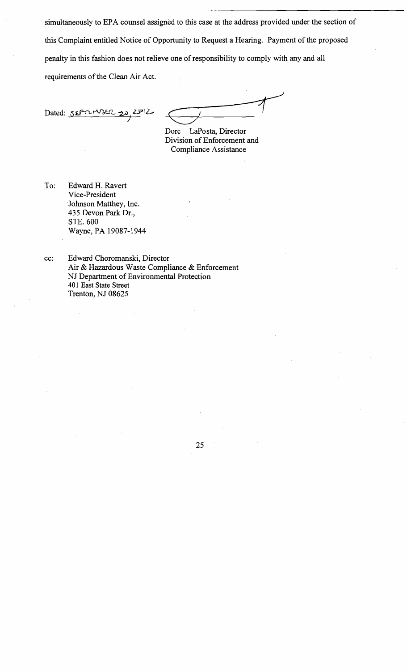simultaneously to EPA counsel assigned to this case at the address provided under the section of this Complaint entitled Notice of Opportunity to Request a Hearing. Payment of the proposed penalty in this fashion does not relieve one of responsibility to comply with any and all requirements of the Clean Air Act.

Dated: SEPTEMBER  $2712$ 

Dore LaPosta, Director Division of Enforcement and Compliance Assistance

To: Edward H. Ravert Vice-President Johnson Matthey, Inc. 435 Devon Park Dr., STE.600 Wayne, PA 19087-1944

cc: Edward Choromanski, Director Air & Hazardous Waste Compliance & Enforcement NJ Department of Environmental Protection 401 East State Street Trenton, NJ 08625